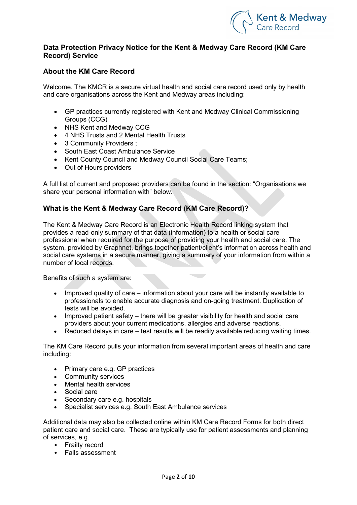

### Data Protection Privacy Notice for the Kent & Medway Care Record (KM Care Record) Service

# About the KM Care Record

Welcome. The KMCR is a secure virtual health and social care record used only by health and care organisations across the Kent and Medway areas including:

- GP practices currently registered with Kent and Medway Clinical Commissioning Groups (CCG)
- NHS Kent and Medway CCG
- 4 NHS Trusts and 2 Mental Health Trusts
- 3 Community Providers :
- South East Coast Ambulance Service
- Kent County Council and Medway Council Social Care Teams;
- Out of Hours providers

A full list of current and proposed providers can be found in the section: "Organisations we share your personal information with" below.

# What is the Kent & Medway Care Record (KM Care Record)?

The Kent & Medway Care Record is an Electronic Health Record linking system that provides a read-only summary of that data (information) to a health or social care professional when required for the purpose of providing your health and social care. The system, provided by Graphnet, brings together patient/client's information across health and social care systems in a secure manner, giving a summary of your information from within a number of local records.

Benefits of such a system are:

- Improved quality of care information about your care will be instantly available to professionals to enable accurate diagnosis and on-going treatment. Duplication of tests will be avoided.
- Improved patient safety there will be greater visibility for health and social care providers about your current medications, allergies and adverse reactions.
- Reduced delays in care test results will be readily available reducing waiting times.

The KM Care Record pulls your information from several important areas of health and care including:

- Primary care e.g. GP practices
- Community services
- Mental health services
- Social care
- Secondary care e.g. hospitals
- Specialist services e.g. South East Ambulance services

Additional data may also be collected online within KM Care Record Forms for both direct patient care and social care. These are typically use for patient assessments and planning of services, e.g.

- Frailty record
- Falls assessment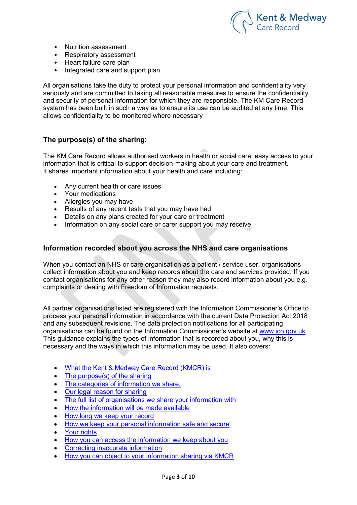

- Nutrition assessment
- Respiratory assessment
- Heart failure care plan<br>• Integrated care and sui
- Integrated care and support plan

All organisations take the duty to protect your personal information and confidentiality very seriously and are committed to taking all reasonable measures to ensure the confidentiality and security of personal information for which they are responsible. The KM Care Record system has been built in such a way as to ensure its use can be audited at any time. This allows confidentiality to be monitored where necessary

# The purpose(s) of the sharing:

The KM Care Record allows authorised workers in health or social care, easy access to your information that is critical to support decision-making about your care and treatment. It shares important information about your health and care including:

- Any current health or care issues
- Your medications
- Allergies you may have
- Results of any recent tests that you may have had
- Details on any plans created for your care or treatment
- Information on any social care or carer support you may receive

#### Information recorded about you across the NHS and care organisations

When you contact an NHS or care organisation as a patient / service user, organisations collect information about you and keep records about the care and services provided. If you contact organisations for any other reason they may also record information about you e.g. complaints or dealing with Freedom of Information requests.

All partner organisations listed are registered with the Information Commissioner's Office to process your personal information in accordance with the current Data Protection Act 2018 and any subsequent revisions. The data protection notifications for all participating organisations can be found on the Information Commissioner's website at www.ico.gov.uk. This guidance explains the types of information that is recorded about you, why this is necessary and the ways in which this information may be used. It also covers:

- What the Kent & Medway Care Record (KMCR) is
- The purpose(s) of the sharing
- The categories of information we share,
- Our legal reason for sharing
- The full list of organisations we share your information with
- How the information will be made available
- How long we keep your record
- How we keep your personal information safe and secure
- Your rights
- How you can access the information we keep about you
- Correcting inaccurate information
- How you can object to your information sharing via KMCR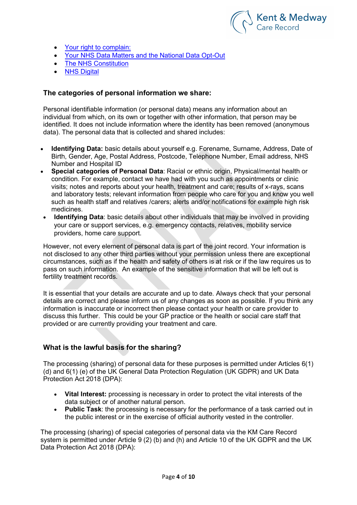

- Your right to complain:
- Your NHS Data Matters and the National Data Opt-Out
- The NHS Constitution
- NHS Digital

#### The categories of personal information we share:

Personal identifiable information (or personal data) means any information about an individual from which, on its own or together with other information, that person may be identified. It does not include information where the identity has been removed (anonymous data). The personal data that is collected and shared includes:

- Identifying Data: basic details about yourself e.g. Forename, Surname, Address, Date of Birth, Gender, Age, Postal Address, Postcode, Telephone Number, Email address, NHS Number and Hospital ID
- Special categories of Personal Data: Racial or ethnic origin, Physical/mental health or condition. For example, contact we have had with you such as appointments or clinic visits; notes and reports about your health, treatment and care; results of x-rays, scans and laboratory tests; relevant information from people who care for you and know you well such as health staff and relatives /carers; alerts and/or notifications for example high risk medicines.
- Identifying Data: basic details about other individuals that may be involved in providing your care or support services, e.g. emergency contacts, relatives, mobility service providers, home care support.

However, not every element of personal data is part of the joint record. Your information is not disclosed to any other third parties without your permission unless there are exceptional circumstances, such as if the health and safety of others is at risk or if the law requires us to pass on such information. An example of the sensitive information that will be left out is fertility treatment records.

It is essential that your details are accurate and up to date. Always check that your personal details are correct and please inform us of any changes as soon as possible. If you think any information is inaccurate or incorrect then please contact your health or care provider to discuss this further. This could be your GP practice or the health or social care staff that provided or are currently providing your treatment and care.

#### What is the lawful basis for the sharing?

The processing (sharing) of personal data for these purposes is permitted under Articles 6(1) (d) and 6(1) (e) of the UK General Data Protection Regulation (UK GDPR) and UK Data Protection Act 2018 (DPA):

- Vital Interest: processing is necessary in order to protect the vital interests of the data subject or of another natural person.
- Public Task: the processing is necessary for the performance of a task carried out in the public interest or in the exercise of official authority vested in the controller.

The processing (sharing) of special categories of personal data via the KM Care Record system is permitted under Article 9 (2) (b) and (h) and Article 10 of the UK GDPR and the UK Data Protection Act 2018 (DPA):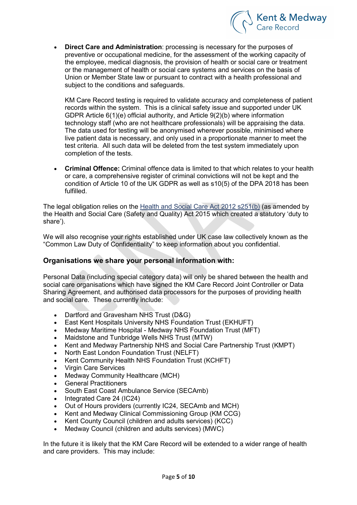

• Direct Care and Administration: processing is necessary for the purposes of preventive or occupational medicine, for the assessment of the working capacity of the employee, medical diagnosis, the provision of health or social care or treatment or the management of health or social care systems and services on the basis of Union or Member State law or pursuant to contract with a health professional and subject to the conditions and safeguards.

KM Care Record testing is required to validate accuracy and completeness of patient records within the system. This is a clinical safety issue and supported under UK GDPR Article 6(1)(e) official authority, and Article 9(2)(b) where information technology staff (who are not healthcare professionals) will be appraising the data. The data used for testing will be anonymised wherever possible, minimised where live patient data is necessary, and only used in a proportionate manner to meet the test criteria. All such data will be deleted from the test system immediately upon completion of the tests.

 Criminal Offence: Criminal offence data is limited to that which relates to your health or care, a comprehensive register of criminal convictions will not be kept and the condition of Article 10 of the UK GDPR as well as s10(5) of the DPA 2018 has been fulfilled.

The legal obligation relies on the Health and Social Care Act 2012 s251(b) (as amended by the Health and Social Care (Safety and Quality) Act 2015 which created a statutory 'duty to share').

We will also recognise your rights established under UK case law collectively known as the "Common Law Duty of Confidentiality" to keep information about you confidential.

# Organisations we share your personal information with:

Personal Data (including special category data) will only be shared between the health and social care organisations which have signed the KM Care Record Joint Controller or Data Sharing Agreement, and authorised data processors for the purposes of providing health and social care. These currently include:

- Dartford and Gravesham NHS Trust (D&G)
- East Kent Hospitals University NHS Foundation Trust (EKHUFT)
- Medway Maritime Hospital Medway NHS Foundation Trust (MFT)
- Maidstone and Tunbridge Wells NHS Trust (MTW)
- Kent and Medway Partnership NHS and Social Care Partnership Trust (KMPT)
- North East London Foundation Trust (NELFT)
- Kent Community Health NHS Foundation Trust (KCHFT)
- Virgin Care Services
- Medway Community Healthcare (MCH)
- General Practitioners
- South East Coast Ambulance Service (SECAmb)
- Integrated Care 24 (IC24)
- Out of Hours providers (currently IC24, SECAmb and MCH)
- Kent and Medway Clinical Commissioning Group (KM CCG)
- Kent County Council (children and adults services) (KCC)
- Medway Council (children and adults services) (MWC)

In the future it is likely that the KM Care Record will be extended to a wider range of health and care providers. This may include: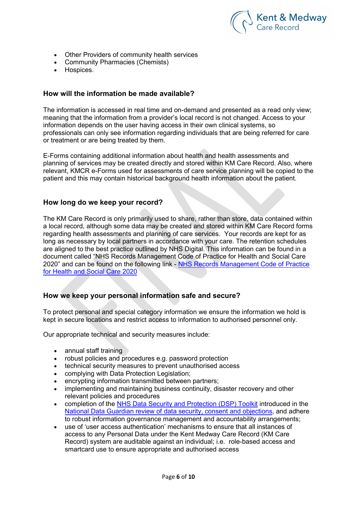

- Other Providers of community health services
- Community Pharmacies (Chemists)
- Hospices.

#### How will the information be made available?

The information is accessed in real time and on-demand and presented as a read only view; meaning that the information from a provider's local record is not changed. Access to your information depends on the user having access in their own clinical systems, so professionals can only see information regarding individuals that are being referred for care or treatment or are being treated by them.

E-Forms containing additional information about health and health assessments and planning of services may be created directly and stored within KM Care Record. Also, where relevant, KMCR e-Forms used for assessments of care service planning will be copied to the patient and this may contain historical background health information about the patient.

#### How long do we keep your record?

The KM Care Record is only primarily used to share, rather than store, data contained within a local record, although some data may be created and stored within KM Care Record forms regarding health assessments and planning of care services. Your records are kept for as long as necessary by local partners in accordance with your care. The retention schedules are aligned to the best practice outlined by NHS Digital. This information can be found in a document called "NHS Records Management Code of Practice for Health and Social Care 2020" and can be found on the following link - NHS Records Management Code of Practice for Health and Social Care 2020

#### How we keep your personal information safe and secure?

To protect personal and special category information we ensure the information we hold is kept in secure locations and restrict access to information to authorised personnel only.

Our appropriate technical and security measures include:

- annual staff training
- robust policies and procedures e.g. password protection
- technical security measures to prevent unauthorised access
- complying with Data Protection Legislation:
- encrypting information transmitted between partners;
- implementing and maintaining business continuity, disaster recovery and other relevant policies and procedures
- completion of the NHS Data Security and Protection (DSP) Toolkit introduced in the National Data Guardian review of data security, consent and objections, and adhere to robust information governance management and accountability arrangements;
- use of 'user access authentication' mechanisms to ensure that all instances of access to any Personal Data under the Kent Medway Care Record (KM Care Record) system are auditable against an individual; i.e. role-based access and smartcard use to ensure appropriate and authorised access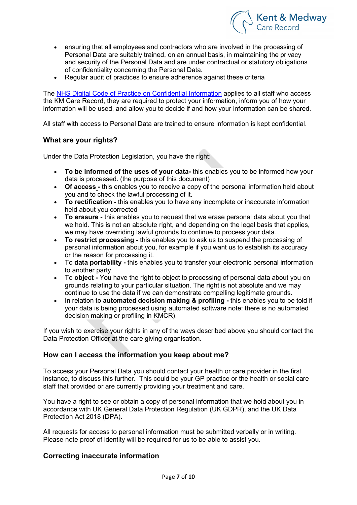

- ensuring that all employees and contractors who are involved in the processing of Personal Data are suitably trained, on an annual basis, in maintaining the privacy and security of the Personal Data and are under contractual or statutory obligations of confidentiality concerning the Personal Data.
- Regular audit of practices to ensure adherence against these criteria

The NHS Digital Code of Practice on Confidential Information applies to all staff who access the KM Care Record, they are required to protect your information, inform you of how your information will be used, and allow you to decide if and how your information can be shared.

All staff with access to Personal Data are trained to ensure information is kept confidential.

### What are your rights?

Under the Data Protection Legislation, you have the right:

- To be informed of the uses of your data- this enables you to be informed how your data is processed. (the purpose of this document)
- Of access this enables you to receive a copy of the personal information held about you and to check the lawful processing of it.
- To rectification this enables you to have any incomplete or inaccurate information held about you corrected
- To erasure this enables you to request that we erase personal data about you that we hold. This is not an absolute right, and depending on the legal basis that applies, we may have overriding lawful grounds to continue to process your data.
- To restrict processing this enables you to ask us to suspend the processing of personal information about you, for example if you want us to establish its accuracy or the reason for processing it.
- To data portability this enables you to transfer your electronic personal information to another party.
- To **object** You have the right to object to processing of personal data about you on grounds relating to your particular situation. The right is not absolute and we may continue to use the data if we can demonstrate compelling legitimate grounds.
- In relation to **automated decision making & profiling** this enables you to be told if your data is being processed using automated software note: there is no automated decision making or profiling in KMCR).

If you wish to exercise your rights in any of the ways described above you should contact the Data Protection Officer at the care giving organisation.

# How can I access the information you keep about me?

To access your Personal Data you should contact your health or care provider in the first instance, to discuss this further. This could be your GP practice or the health or social care staff that provided or are currently providing your treatment and care.

You have a right to see or obtain a copy of personal information that we hold about you in accordance with UK General Data Protection Regulation (UK GDPR), and the UK Data Protection Act 2018 (DPA).

All requests for access to personal information must be submitted verbally or in writing. Please note proof of identity will be required for us to be able to assist you.

# Correcting inaccurate information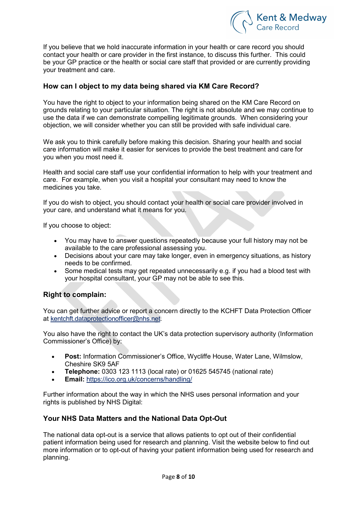

If you believe that we hold inaccurate information in your health or care record you should contact your health or care provider in the first instance, to discuss this further. This could be your GP practice or the health or social care staff that provided or are currently providing your treatment and care.

# How can I object to my data being shared via KM Care Record?

You have the right to object to your information being shared on the KM Care Record on grounds relating to your particular situation. The right is not absolute and we may continue to use the data if we can demonstrate compelling legitimate grounds. When considering your objection, we will consider whether you can still be provided with safe individual care.

We ask you to think carefully before making this decision. Sharing your health and social care information will make it easier for services to provide the best treatment and care for you when you most need it.

Health and social care staff use your confidential information to help with your treatment and care. For example, when you visit a hospital your consultant may need to know the medicines you take.

If you do wish to object, you should contact your health or social care provider involved in your care, and understand what it means for you.

If you choose to object:

- You may have to answer questions repeatedly because your full history may not be available to the care professional assessing you.
- Decisions about your care may take longer, even in emergency situations, as history needs to be confirmed.
- Some medical tests may get repeated unnecessarily e.g. if you had a blood test with your hospital consultant, your GP may not be able to see this.

# Right to complain:

You can get further advice or report a concern directly to the KCHFT Data Protection Officer at kentchft.dataprotectionofficer@nhs.net.

You also have the right to contact the UK's data protection supervisory authority (Information Commissioner's Office) by:

- Post: Information Commissioner's Office, Wycliffe House, Water Lane, Wilmslow, Cheshire SK9 5AF
- Telephone: 0303 123 1113 (local rate) or 01625 545745 (national rate)
- Email: https://ico.org.uk/concerns/handling/

Further information about the way in which the NHS uses personal information and your rights is published by NHS Digital:

# Your NHS Data Matters and the National Data Opt-Out

The national data opt-out is a service that allows patients to opt out of their confidential patient information being used for research and planning. Visit the website below to find out more information or to opt-out of having your patient information being used for research and planning.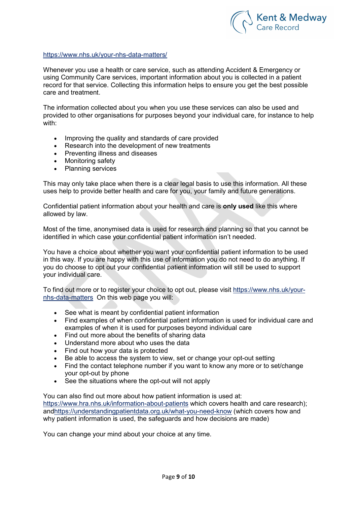

#### https://www.nhs.uk/your-nhs-data-matters/

Whenever you use a health or care service, such as attending Accident & Emergency or using Community Care services, important information about you is collected in a patient record for that service. Collecting this information helps to ensure you get the best possible care and treatment.

The information collected about you when you use these services can also be used and provided to other organisations for purposes beyond your individual care, for instance to help with:

- Improving the quality and standards of care provided
- Research into the development of new treatments
- Preventing illness and diseases
- Monitoring safety
- Planning services

This may only take place when there is a clear legal basis to use this information. All these uses help to provide better health and care for you, your family and future generations.

Confidential patient information about your health and care is only used like this where allowed by law.

Most of the time, anonymised data is used for research and planning so that you cannot be identified in which case your confidential patient information isn't needed.

You have a choice about whether you want your confidential patient information to be used in this way. If you are happy with this use of information you do not need to do anything. If you do choose to opt out your confidential patient information will still be used to support your individual care.

To find out more or to register your choice to opt out, please visit https://www.nhs.uk/yournhs-data-matters On this web page you will:

- See what is meant by confidential patient information
- Find examples of when confidential patient information is used for individual care and examples of when it is used for purposes beyond individual care
- Find out more about the benefits of sharing data
- Understand more about who uses the data
- Find out how your data is protected
- Be able to access the system to view, set or change your opt-out setting
- Find the contact telephone number if you want to know any more or to set/change your opt-out by phone
- See the situations where the opt-out will not apply

You can also find out more about how patient information is used at: https://www.hra.nhs.uk/information-about-patients which covers health and care research); andhttps://understandingpatientdata.org.uk/what-you-need-know (which covers how and why patient information is used, the safeguards and how decisions are made)

You can change your mind about your choice at any time.